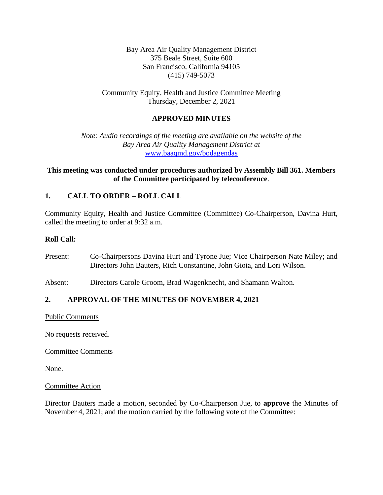Bay Area Air Quality Management District 375 Beale Street, Suite 600 San Francisco, California 94105 (415) 749-5073

Community Equity, Health and Justice Committee Meeting Thursday, December 2, 2021

## **APPROVED MINUTES**

*Note: Audio recordings of the meeting are available on the website of the Bay Area Air Quality Management District at* [www.baaqmd.gov/bodagendas](http://www.baaqmd.gov/bodagendas)

## **This meeting was conducted under procedures authorized by Assembly Bill 361. Members of the Committee participated by teleconference**.

## **1. CALL TO ORDER – ROLL CALL**

Community Equity, Health and Justice Committee (Committee) Co-Chairperson, Davina Hurt, called the meeting to order at 9:32 a.m.

### **Roll Call:**

- Present: Co-Chairpersons Davina Hurt and Tyrone Jue; Vice Chairperson Nate Miley; and Directors John Bauters, Rich Constantine, John Gioia, and Lori Wilson.
- Absent: Directors Carole Groom, Brad Wagenknecht, and Shamann Walton.

### **2. APPROVAL OF THE MINUTES OF NOVEMBER 4, 2021**

Public Comments

No requests received.

Committee Comments

None.

#### Committee Action

Director Bauters made a motion, seconded by Co-Chairperson Jue, to **approve** the Minutes of November 4, 2021; and the motion carried by the following vote of the Committee: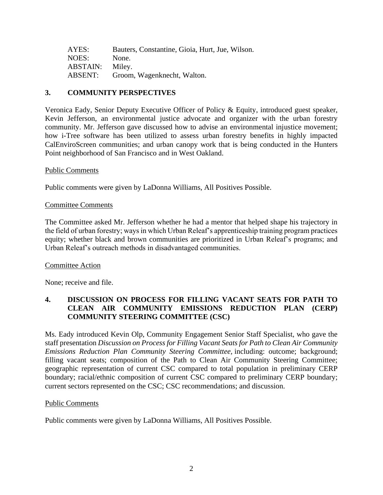| AYES:           | Bauters, Constantine, Gioia, Hurt, Jue, Wilson. |
|-----------------|-------------------------------------------------|
| NOES:           | None.                                           |
| <b>ABSTAIN:</b> | Miley.                                          |
| ABSENT:         | Groom, Wagenknecht, Walton.                     |

# **3. COMMUNITY PERSPECTIVES**

Veronica Eady, Senior Deputy Executive Officer of Policy & Equity, introduced guest speaker, Kevin Jefferson, an environmental justice advocate and organizer with the urban forestry community. Mr. Jefferson gave discussed how to advise an environmental injustice movement; how i-Tree software has been utilized to assess urban forestry benefits in highly impacted CalEnviroScreen communities; and urban canopy work that is being conducted in the Hunters Point neighborhood of San Francisco and in West Oakland.

### Public Comments

Public comments were given by LaDonna Williams, All Positives Possible.

#### Committee Comments

The Committee asked Mr. Jefferson whether he had a mentor that helped shape his trajectory in the field of urban forestry; ways in which Urban Releaf's apprenticeship training program practices equity; whether black and brown communities are prioritized in Urban Releaf's programs; and Urban Releaf's outreach methods in disadvantaged communities.

### Committee Action

None; receive and file.

## **4. DISCUSSION ON PROCESS FOR FILLING VACANT SEATS FOR PATH TO CLEAN AIR COMMUNITY EMISSIONS REDUCTION PLAN (CERP) COMMUNITY STEERING COMMITTEE (CSC)**

Ms. Eady introduced Kevin Olp, Community Engagement Senior Staff Specialist, who gave the staff presentation *Discussion on Process for Filling Vacant Seats for Path to Clean Air Community Emissions Reduction Plan Community Steering Committee,* including: outcome; background; filling vacant seats; composition of the Path to Clean Air Community Steering Committee; geographic representation of current CSC compared to total population in preliminary CERP boundary; racial/ethnic composition of current CSC compared to preliminary CERP boundary; current sectors represented on the CSC; CSC recommendations; and discussion.

#### Public Comments

Public comments were given by LaDonna Williams, All Positives Possible.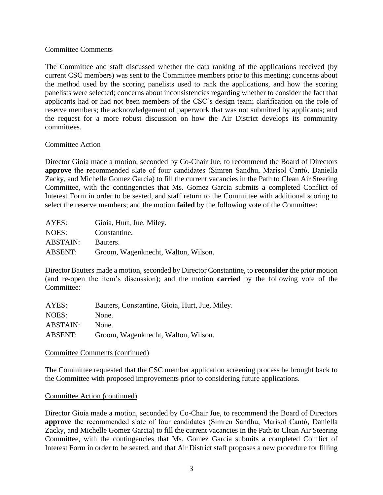### Committee Comments

The Committee and staff discussed whether the data ranking of the applications received (by current CSC members) was sent to the Committee members prior to this meeting; concerns about the method used by the scoring panelists used to rank the applications, and how the scoring panelists were selected; concerns about inconsistencies regarding whether to consider the fact that applicants had or had not been members of the CSC's design team; clarification on the role of reserve members; the acknowledgement of paperwork that was not submitted by applicants; and the request for a more robust discussion on how the Air District develops its community committees.

### Committee Action

Director Gioia made a motion, seconded by Co-Chair Jue, to recommend the Board of Directors **approve** the recommended slate of four candidates (Simren Sandhu, Marisol Cantύ, Daniella Zacky, and Michelle Gomez Garcia) to fill the current vacancies in the Path to Clean Air Steering Committee, with the contingencies that Ms. Gomez Garcia submits a completed Conflict of Interest Form in order to be seated, and staff return to the Committee with additional scoring to select the reserve members; and the motion **failed** by the following vote of the Committee:

| AYES:          | Gioia, Hurt, Jue, Miley.            |
|----------------|-------------------------------------|
| NOES:          | Constantine.                        |
| ABSTAIN:       | Bauters.                            |
| <b>ABSENT:</b> | Groom, Wagenknecht, Walton, Wilson. |

Director Bauters made a motion, seconded by Director Constantine, to **reconsider** the prior motion (and re-open the item's discussion); and the motion **carried** by the following vote of the Committee:

| AYES:           | Bauters, Constantine, Gioia, Hurt, Jue, Miley. |
|-----------------|------------------------------------------------|
| NOES:           | None.                                          |
| <b>ABSTAIN:</b> | None.                                          |
| ABSENT:         | Groom, Wagenknecht, Walton, Wilson.            |

### Committee Comments (continued)

The Committee requested that the CSC member application screening process be brought back to the Committee with proposed improvements prior to considering future applications.

### Committee Action (continued)

Director Gioia made a motion, seconded by Co-Chair Jue, to recommend the Board of Directors **approve** the recommended slate of four candidates (Simren Sandhu, Marisol Cantύ, Daniella Zacky, and Michelle Gomez Garcia) to fill the current vacancies in the Path to Clean Air Steering Committee, with the contingencies that Ms. Gomez Garcia submits a completed Conflict of Interest Form in order to be seated, and that Air District staff proposes a new procedure for filling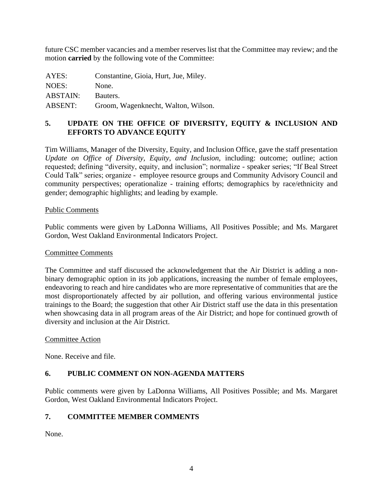future CSC member vacancies and a member reserves list that the Committee may review; and the motion **carried** by the following vote of the Committee:

| AYES:           | Constantine, Gioia, Hurt, Jue, Miley. |
|-----------------|---------------------------------------|
| NOES:           | None.                                 |
| <b>ABSTAIN:</b> | Bauters.                              |
| <b>ABSENT:</b>  | Groom, Wagenknecht, Walton, Wilson.   |

# **5. UPDATE ON THE OFFICE OF DIVERSITY, EQUITY & INCLUSION AND EFFORTS TO ADVANCE EQUITY**

Tim Williams, Manager of the Diversity, Equity, and Inclusion Office, gave the staff presentation *Update on Office of Diversity, Equity, and Inclusion,* including: outcome; outline; action requested; defining "diversity, equity, and inclusion"; normalize - speaker series; "If Beal Street Could Talk" series; organize - employee resource groups and Community Advisory Council and community perspectives; operationalize - training efforts; demographics by race/ethnicity and gender; demographic highlights; and leading by example.

### Public Comments

Public comments were given by LaDonna Williams, All Positives Possible; and Ms. Margaret Gordon, West Oakland Environmental Indicators Project.

#### Committee Comments

The Committee and staff discussed the acknowledgement that the Air District is adding a nonbinary demographic option in its job applications, increasing the number of female employees, endeavoring to reach and hire candidates who are more representative of communities that are the most disproportionately affected by air pollution, and offering various environmental justice trainings to the Board; the suggestion that other Air District staff use the data in this presentation when showcasing data in all program areas of the Air District; and hope for continued growth of diversity and inclusion at the Air District.

### Committee Action

None. Receive and file.

### **6. PUBLIC COMMENT ON NON-AGENDA MATTERS**

Public comments were given by LaDonna Williams, All Positives Possible; and Ms. Margaret Gordon, West Oakland Environmental Indicators Project.

### **7. COMMITTEE MEMBER COMMENTS**

None.